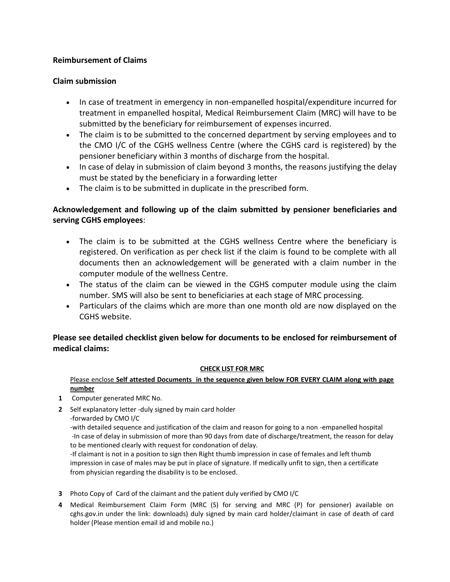# **Reimbursement of Claims**

## **Claim submission**

- In case of treatment in emergency in non-empanelled hospital/expenditure incurred for treatment in empanelled hospital, Medical Reimbursement Claim (MRC) will have to be submitted by the beneficiary for reimbursement of expenses incurred.
- The claim is to be submitted to the concerned department by serving employees and to the CMO I/C of the CGHS wellness Centre (where the CGHS card is registered) by the pensioner beneficiary within 3 months of discharge from the hospital.
- In case of delay in submission of claim beyond 3 months, the reasons justifying the delay must be stated by the beneficiary in a forwarding letter
- The claim is to be submitted in duplicate in the prescribed form.

# **Acknowledgement and following up of the claim submitted by pensioner beneficiaries and serving CGHS employees**:

- The claim is to be submitted at the CGHS wellness Centre where the beneficiary is registered. On verification as per check list if the claim is found to be complete with all documents then an acknowledgement will be generated with a claim number in the computer module of the wellness Centre.
- The status of the claim can be viewed in the CGHS computer module using the claim number. SMS will also be sent to beneficiaries at each stage of MRC processing.
- Particulars of the claims which are more than one month old are now displayed on the CGHS website.

# **Please see detailed checklist given below for documents to be enclosed for reimbursement of medical claims:**

## **CHECK LIST FOR MRC**

## Please enclose **Self attested Documents in the sequence given below FOR EVERY CLAIM along with page number**

- **1** Computer generated MRC No.
- **2** Self explanatory letter -duly signed by main card holder -forwarded by CMO I/C

-with detailed sequence and justification of the claim and reason for going to a non -empanelled hospital -In case of delay in submission of more than 90 days from date of discharge/treatment, the reason for delay to be mentioned clearly with request for condonation of delay.

-If claimant is not in a position to sign then Right thumb impression in case of females and left thumb impression in case of males may be put in place of signature. If medically unfit to sign, then a certificate from physician regarding the disability is to be enclosed.

- **3** Photo Copy of Card of the claimant and the patient duly verified by CMO I/C
- **4** Medical Reimbursement Claim Form (MRC (S) for serving and MRC (P) for pensioner) available on cghs.gov.in under the link: downloads) duly signed by main card holder/claimant in case of death of card holder (Please mention email id and mobile no.)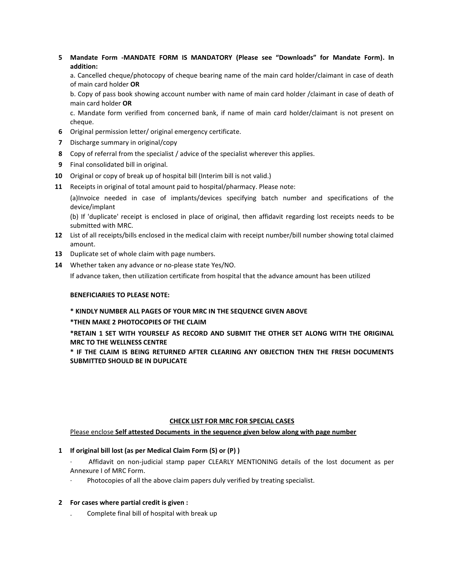**5 Mandate Form -MANDATE FORM IS MANDATORY (Please see "Downloads" for Mandate Form). In addition:**

a. Cancelled cheque/photocopy of cheque bearing name of the main card holder/claimant in case of death of main card holder **OR**

b. Copy of pass book showing account number with name of main card holder /claimant in case of death of main card holder **OR**

c. Mandate form verified from concerned bank, if name of main card holder/claimant is not present on cheque.

- **6** Original permission letter/ original emergency certificate.
- **7** Discharge summary in original/copy
- **8** Copy of referral from the specialist / advice of the specialist wherever this applies.
- **9** Final consolidated bill in original.
- **10** Original or copy of break up of hospital bill (Interim bill is not valid.)
- **11** Receipts in original of total amount paid to hospital/pharmacy. Please note:

(a)Invoice needed in case of implants/devices specifying batch number and specifications of the device/implant

(b) If 'duplicate' receipt is enclosed in place of original, then affidavit regarding lost receipts needs to be submitted with MRC.

- **12** List of all receipts/bills enclosed in the medical claim with receipt number/bill number showing total claimed amount.
- **13** Duplicate set of whole claim with page numbers.
- **14** Whether taken any advance or no-please state Yes/NO.

If advance taken, then utilization certificate from hospital that the advance amount has been utilized

#### **BENEFICIARIES TO PLEASE NOTE:**

## **\* KINDLY NUMBER ALL PAGES OF YOUR MRC IN THE SEQUENCE GIVEN ABOVE**

**\*THEN MAKE 2 PHOTOCOPIES OF THE CLAIM**

**\*RETAIN 1 SET WITH YOURSELF AS RECORD AND SUBMIT THE OTHER SET ALONG WITH THE ORIGINAL MRC TO THE WELLNESS CENTRE**

**\* IF THE CLAIM IS BEING RETURNED AFTER CLEARING ANY OBJECTION THEN THE FRESH DOCUMENTS SUBMITTED SHOULD BE IN DUPLICATE**

#### **CHECK LIST FOR MRC FOR SPECIAL CASES**

Please enclose **Self attested Documents in the sequence given below along with page number**

## **1 If original bill lost (as per Medical Claim Form (S) or (P) )**

· Affidavit on non-judicial stamp paper CLEARLY MENTIONING details of the lost document as per Annexure I of MRC Form.

Photocopies of all the above claim papers duly verified by treating specialist.

## **2 For cases where partial credit is given :**

. Complete final bill of hospital with break up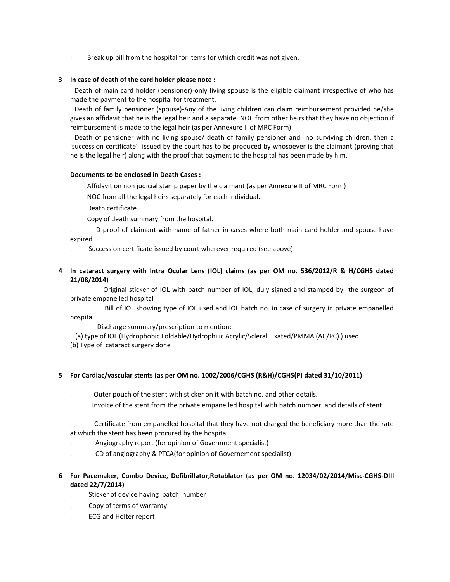Break up bill from the hospital for items for which credit was not given.

### **3 In case of death of the card holder please note :**

. Death of main card holder (pensioner)-only living spouse is the eligible claimant irrespective of who has made the payment to the hospital for treatment.

. Death of family pensioner (spouse)-Any of the living children can claim reimbursement provided he/she gives an affidavit that he is the legal heir and a separate NOC from other heirs that they have no objection if reimbursement is made to the legal heir (as per Annexure II of MRC Form).

. Death of pensioner with no living spouse/ death of family pensioner and no surviving children, then a 'succession certificate' issued by the court has to be produced by whosoever is the claimant (proving that he is the legal heir) along with the proof that payment to the hospital has been made by him.

### **Documents to be enclosed in Death Cases :**

- Affidavit on non judicial stamp paper by the claimant (as per Annexure II of MRC Form)
- NOC from all the legal heirs separately for each individual.
- Death certificate.
- Copy of death summary from the hospital.

. ID proof of claimant with name of father in cases where both main card holder and spouse have expired

- . Succession certificate issued by court wherever required (see above)
- **4 In cataract surgery with Intra Ocular Lens (IOL) claims (as per OM no. 536/2012/R & H/CGHS dated 21/08/2014)**

Original sticker of IOL with batch number of IOL, duly signed and stamped by the surgeon of private empanelled hospital

. Bill of IOL showing type of IOL used and IOL batch no. in case of surgery in private empanelled hospital

- Discharge summary/prescription to mention:
- (a) type of IOL (Hydrophobic Foldable/Hydrophilic Acrylic/Scleral Fixated/PMMA (AC/PC) ) used
- (b) Type of cataract surgery done

#### **5 For Cardiac/vascular stents (as per OM no. 1002/2006/CGHS (R&H)/CGHS(P) dated 31/10/2011)**

- . Outer pouch of the stent with sticker on it with batch no. and other details.
- . Invoice of the stent from the private empanelled hospital with batch number. and details of stent

. Certificate from empanelled hospital that they have not charged the beneficiary more than the rate at which the stent has been procured by the hospital

- . Angiography report (for opinion of Government specialist)
- . CD of angiography & PTCA(for opinion of Governement specialist)
- **6 For Pacemaker, Combo Device, Defibrillator,Rotablator (as per OM no. 12034/02/2014/Misc-CGHS-DIII dated 22/7/2014)**
	- . Sticker of device having batch number
	- . Copy of terms of warranty
	- . ECG and Holter report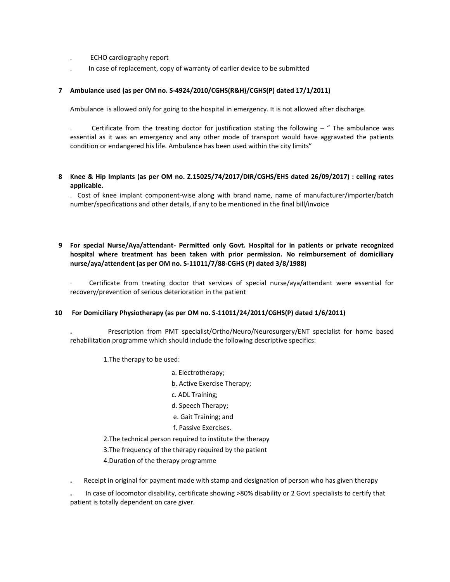- . ECHO cardiography report
- . In case of replacement, copy of warranty of earlier device to be submitted

### **7 Ambulance used (as per OM no. S-4924/2010/CGHS(R&H)/CGHS(P) dated 17/1/2011)**

Ambulance is allowed only for going to the hospital in emergency. It is not allowed after discharge.

Certificate from the treating doctor for justification stating the following  $-$  "The ambulance was essential as it was an emergency and any other mode of transport would have aggravated the patients condition or endangered his life. Ambulance has been used within the city limits"

## **8 Knee & Hip Implants (as per OM no. Z.15025/74/2017/DIR/CGHS/EHS dated 26/09/2017) : ceiling rates applicable.**

. Cost of knee implant component-wise along with brand name, name of manufacturer/importer/batch number/specifications and other details, if any to be mentioned in the final bill/invoice

**9 For special Nurse/Aya/attendant- Permitted only Govt. Hospital for in patients or private recognized hospital where treatment has been taken with prior permission. No reimbursement of domiciliary nurse/aya/attendent (as per OM no. S-11011/7/88-CGHS (P) dated 3/8/1988)**

Certificate from treating doctor that services of special nurse/aya/attendant were essential for recovery/prevention of serious deterioration in the patient

#### **10 For Domiciliary Physiotherapy (as per OM no. S-11011/24/2011/CGHS(P) dated 1/6/2011)**

**.** Prescription from PMT specialist/Ortho/Neuro/Neurosurgery/ENT specialist for home based rehabilitation programme which should include the following descriptive specifics:

1.The therapy to be used:

- a. Electrotherapy;
- b. Active Exercise Therapy;
- c. ADL Training;
- d. Speech Therapy;
- e. Gait Training; and
- f. Passive Exercises.
- 2.The technical person required to institute the therapy
- 3.The frequency of the therapy required by the patient
- 4.Duration of the therapy programme
- **.** Receipt in original for payment made with stamp and designation of person who has given therapy

**.** In case of locomotor disability, certificate showing >80% disability or 2 Govt specialists to certify that patient is totally dependent on care giver.